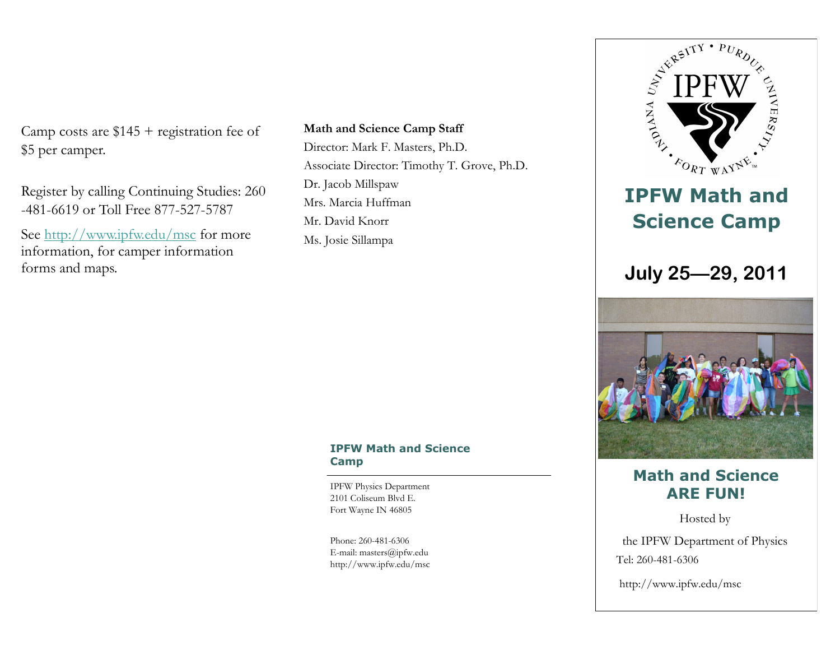Camp costs are \$145 + registration fee of \$5 per camper.

Register by calling Continuing Studies: 260 -481-6619 or Toll Free 877-527-5787

See <http://www.ipfw.edu/msc> for more information, for camper information forms and maps.

**Math and Science Camp Staff** Director: Mark F. Masters, Ph.D. Associate Director: Timothy T. Grove, Ph.D. Dr. Jacob Millspaw Mrs. Marcia Huffman Mr. David Knorr Ms. Josie Sillampa

#### **IPFW Math and Science Camp**

IPFW Physics Department 2101 Coliseum Blvd E. Fort Wayne IN 46805

Phone: 260-481-6306 E-mail: masters@ipfw.edu http://www.ipfw.edu/msc



# **ARE FUN!**

Tel: 260-481-6306 Hosted by the IPFW Department of Physics

http://www.ipfw.edu/msc